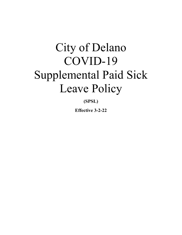# City of Delano COVID-19 Supplemental Paid Sick Leave Policy

**(SPSL)** 

**Effective 3-2-22**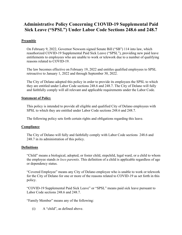# **Administrative Policy Concerning C1OVID-19 Supplemental Paid Sick Leave ("SPSL") Under Labor Code Sections 248.6 and 248.7**

# **Preamble**

On February 9, 2022, Governor Newsom signed Senate Bill ("SB") 114 into law, which reauthorized COVID-19 Supplemental Paid Sick Leave ("SPSL"), providing new paid leave entitlements to employees who are unable to work or telework due to a number of qualifying reasons related to COVID-19.

The law becomes effective on February 19, 2022 and entitles qualified employees to SPSL retroactive to January 1, 2022 and through September 30, 2022.

The City of Delano adopted this policy in order to provide its employees the SPSL to which they are entitled under Labor Code sections 248.6 and 248.7. The City of Delano will fully and faithfully comply will all relevant and applicable requirements under the Labor Code.

# **Statement of Policy**

This policy is intended to provide all eligible and qualified City of Delano employees with SPSL to which they are entitled under Labor Code sections 248.6 and 248.7.

The following policy sets forth certain rights and obligations regarding this leave.

# **Compliance**

The City of Delano will fully and faithfully comply with Labor Code sections 248.6 and 248.7 in its administration of this policy.

# **Definitions**

"Child" means a biological, adopted, or foster child, stepchild, legal ward, or a child to whom the employee stands *in loco parentis*. This definition of a child is applicable regardless of age or dependency status.

"Covered Employee" means any City of Delano employee who is unable to work or telework for the City of Delano for one or more of the reasons related to COVID-19 as set forth in this policy.

"COVID-19 Supplemental Paid Sick Leave" or "SPSL" means paid sick leave pursuant to Labor Code sections 248.6 and 248.7.

"Family Member" means any of the following:

(i) A "child", as defined above.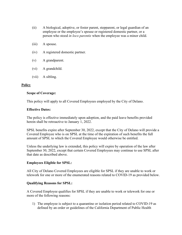- (ii) A biological, adoptive, or foster parent, stepparent, or legal guardian of an employee or the employee's spouse or registered domestic partner, or a person who stood *in loco parentis* when the employee was a minor child.
- (iii) A spouse.
- (iv) A registered domestic partner.
- (v) A grandparent.
- (vi) A grandchild.
- (vii) A sibling.

#### **Policy**

#### **Scope of Coverage:**

This policy will apply to all Covered Employees employed by the City of Delano.

#### **Effective Dates:**

The policy is effective immediately upon adoption, and the paid leave benefits provided herein shall be retroactive to January 1, 2022.

SPSL benefits expire after September 30, 2022, except that the City of Delano will provide a Covered Employee who is on SPSL at the time of the expiration of such benefits the full amount of SPSL to which the Covered Employee would otherwise be entitled.

Unless the underlying law is extended, this policy will expire by operation of the law after September 30, 2022, except that certain Covered Employees may continue to use SPSL after that date as described above.

#### **Employees Eligible for SPSL:**

All City of Delano Covered Employees are eligible for SPSL if they are unable to work or telework for one or more of the enumerated reasons related to COVID-19 as provided below.

#### **Qualifying Reasons for SPSL:**

A Covered Employee qualifies for SPSL if they are unable to work or telework for one or more of the following reasons:

1) The employee is subject to a quarantine or isolation period related to COVID-19 as defined by an order or guidelines of the California Department of Public Health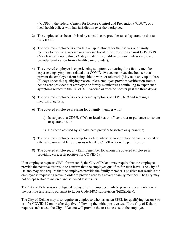("CDPH"), the federal Centers for Disease Control and Prevention ("CDC"), or a local health officer who has jurisdiction over the workplace;

- 2) The employee has been advised by a health care provider to self-quarantine due to COVID-19;
- 3) The covered employee is attending an appointment for themselves or a family member to receive a vaccine or a vaccine booster for protection against COVID-19 (May take only up to three (3) days under this qualifying reason unless employee provides verification from a health care provider);
- 4) The covered employee is experiencing symptoms, or caring for a family member experiencing symptoms, related to a COVID-19 vaccine or vaccine booster that prevent the employee from being able to work or telework (May take only up to three (3) days under this qualifying reason unless employee provides verification from a health care provider that employee or family member was continuing to experience symptoms related to the COVID-19 vaccine or vaccine booster past the three days);
- 5) The covered employee is experiencing symptoms of COVID-19 and seeking a medical diagnosis;
- 6) The covered employee is caring for a family member who:
	- a) Is subject to a CDPH, CDC, or local health officer order or guidance to isolate or quarantine, or
	- b) Has been advised by a health care provider to isolate or quarantine;
- 7) The covered employee is caring for a child whose school or place of care is closed or otherwise unavailable for reasons related to COVID-19 on the premises; or
- 8) The covered employee, or a family member for whom the covered employee is providing care, tests positive for COVID-19.

If an employee requests SPSL for reason 8, the City of Delano may require that the employee provide the positive test result to confirm that the employee qualifies for such leave. The City of Delano may also require that the employee provide the family member's positive test result if the employee is requesting leave in order to provide care to a covered family member. The City may not accept self-administered and self-read test results.

The City of Delano is not obligated to pay SPSL if employee fails to provide documentation of the positive test results pursuant to Labor Code 248.6 subdivision  $(b)(2)(D)(iv)$ .

The City of Delano may also require an employee who has taken SPSL for qualifying reason 8 to test for COVID-19 on or after day five, following the initial positive test. If the City of Delano requires such a test, the City of Delano will provide the test at no cost to the employee.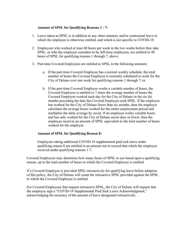# **Amount of SPSL for Qualifying Reasons 1 - 7:**

- 1. Leave taken as SPSL is in addition to any other statutory and/or contractual leave to which the employee is otherwise entitled, and which is not specific to COVID-19.
- 2. Employees who worked at least 40 hours per week in the two weeks before they take SPSL, or who the employer considers to be full-time employees, are entitled to 40 hours of SPSL for qualifying reasons 1 through 7, above.
- 3. Part-time Covered Employees are entitled to SPSL in the following amounts:
	- a. If the part-time Covered Employee has a normal weekly schedule, the total number of hours the Covered Employee is normally scheduled to work for the City of Delano over one week for qualifying reasons 1 through 7; or
	- b. If the part-time Covered Employee works a variable number of hours, the Covered Employee is entitled to 7 times the average number of hours the Covered Employee worked each day for the City of Delano in the six (6) months preceding the date the Covered Employee took SPSL. If the employee has worked for the City of Delano fewer than six months, then the employer calculates the average hours worked for the entire employment period and multiplies the daily average by seven. If an employee works variable hours and has only worked for the City of Delano seven days or fewer, then the employee receives an amount of SPSL equivalent to the total number of hours worked for the employer.

# **Amount of SPSL for Qualifying Reason 8:**

Employees taking additional COVID-19 supplemental paid sick leave under qualifying reason 8 are entitled to an amount not to exceed that which the employee received under qualifying reasons 1-7.

Covered Employees may determine how many hours of SPSL to use based upon a qualifying reason, up to the total number of hours to which the Covered Employee is entitled.

If a Covered Employee is provided SPSL retroactively for qualifying leave before adoption of this policy, the City of Delano will count the retroactive SPSL provided against the SPSL to which the Covered Employee is entitled.

For Covered Employees that request retroactive SPSL, the City of Delano will request that the employee sign a "COVID-19 Supplemental Paid Sick Leave Acknowledgment," acknowledging the accuracy of the amount of leave designated retroactively.